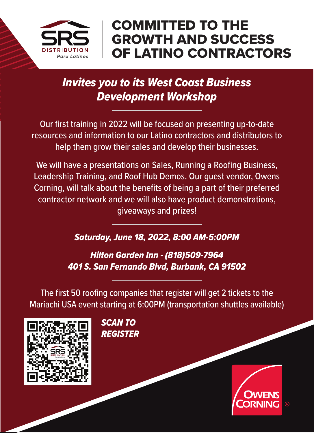

## COMMITTED TO THE GROWTH AND SUCCESS OF LATINO CONTRACTORS

#### *Invites you to its West Coast Business Development Workshop*

Our first training in 2022 will be focused on presenting up-to-date resources and information to our Latino contractors and distributors to help them grow their sales and develop their businesses.

We will have a presentations on Sales, Running a Roofing Business, Leadership Training, and Roof Hub Demos. Our guest vendor, Owens Corning, will talk about the benefits of being a part of their preferred contractor network and we will also have product demonstrations, giveaways and prizes!

*Saturday, June 18, 2022, 8:00 AM-5:00PM*

*Hilton Garden Inn - (818)509-7964 401 S. San Fernando Blvd, Burbank, CA 91502*

The first 50 roofing companies that register will get 2 tickets to the Mariachi USA event starting at 6:00PM (transportation shuttles available)



*SCAN TO REGISTER*